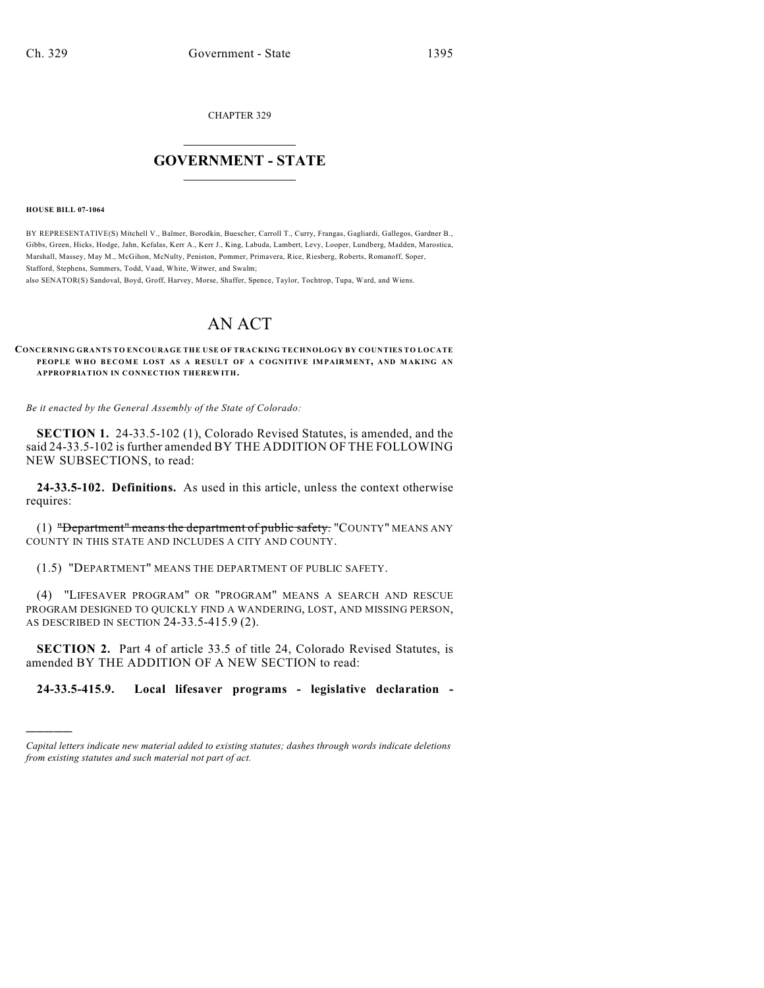CHAPTER 329

## $\overline{\phantom{a}}$  . The set of the set of the set of the set of the set of the set of the set of the set of the set of the set of the set of the set of the set of the set of the set of the set of the set of the set of the set o **GOVERNMENT - STATE**  $\_$

**HOUSE BILL 07-1064**

)))))

BY REPRESENTATIVE(S) Mitchell V., Balmer, Borodkin, Buescher, Carroll T., Curry, Frangas, Gagliardi, Gallegos, Gardner B., Gibbs, Green, Hicks, Hodge, Jahn, Kefalas, Kerr A., Kerr J., King, Labuda, Lambert, Levy, Looper, Lundberg, Madden, Marostica, Marshall, Massey, May M., McGihon, McNulty, Peniston, Pommer, Primavera, Rice, Riesberg, Roberts, Romanoff, Soper, Stafford, Stephens, Summers, Todd, Vaad, White, Witwer, and Swalm;

also SENATOR(S) Sandoval, Boyd, Groff, Harvey, Morse, Shaffer, Spence, Taylor, Tochtrop, Tupa, Ward, and Wiens.

## AN ACT

**CONCERNING GRANTS TO ENCOURAGE THE USE OF TRACKING TECHNOLOGY BY COUNTIES TO LOCATE PEOPLE WHO BECOME LOST AS A RESULT OF A COGNITIVE IMPAIRMENT, AND MAKING AN APPROPRIATION IN CONNECTION THEREWITH.**

*Be it enacted by the General Assembly of the State of Colorado:*

**SECTION 1.** 24-33.5-102 (1), Colorado Revised Statutes, is amended, and the said 24-33.5-102 is further amended BY THE ADDITION OF THE FOLLOWING NEW SUBSECTIONS, to read:

**24-33.5-102. Definitions.** As used in this article, unless the context otherwise requires:

(1) "Department" means the department of public safety: "COUNTY" MEANS ANY COUNTY IN THIS STATE AND INCLUDES A CITY AND COUNTY.

(1.5) "DEPARTMENT" MEANS THE DEPARTMENT OF PUBLIC SAFETY.

(4) "LIFESAVER PROGRAM" OR "PROGRAM" MEANS A SEARCH AND RESCUE PROGRAM DESIGNED TO QUICKLY FIND A WANDERING, LOST, AND MISSING PERSON, AS DESCRIBED IN SECTION 24-33.5-415.9 (2).

**SECTION 2.** Part 4 of article 33.5 of title 24, Colorado Revised Statutes, is amended BY THE ADDITION OF A NEW SECTION to read:

**24-33.5-415.9. Local lifesaver programs - legislative declaration -**

*Capital letters indicate new material added to existing statutes; dashes through words indicate deletions from existing statutes and such material not part of act.*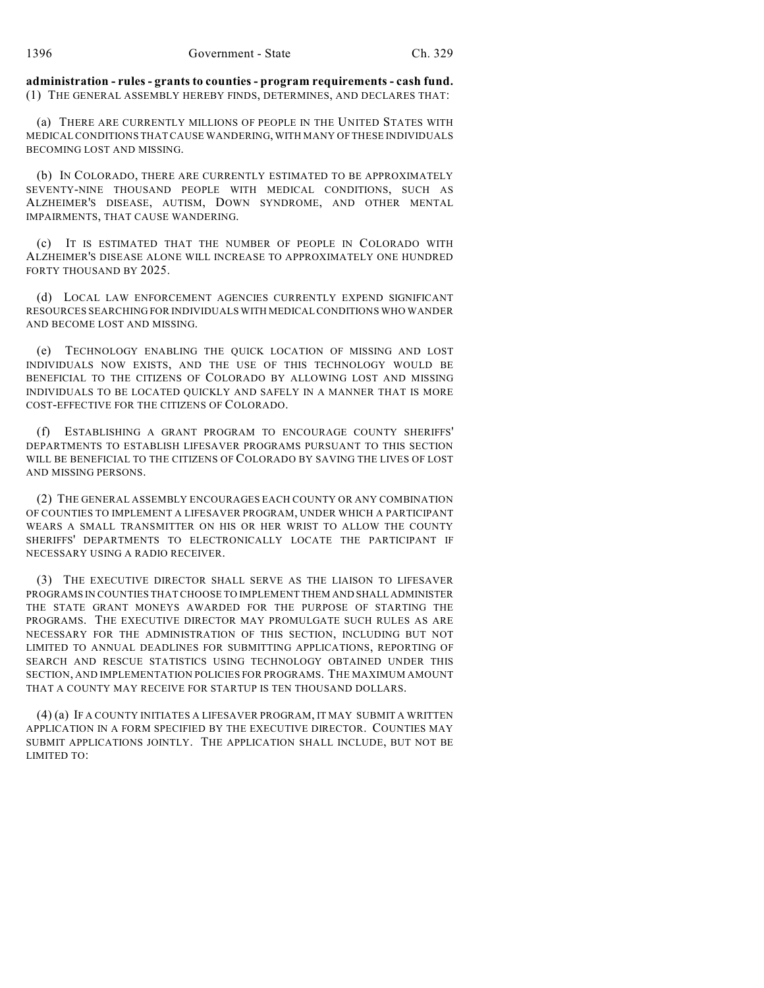**administration - rules - grants to counties - program requirements - cash fund.** (1) THE GENERAL ASSEMBLY HEREBY FINDS, DETERMINES, AND DECLARES THAT:

(a) THERE ARE CURRENTLY MILLIONS OF PEOPLE IN THE UNITED STATES WITH MEDICAL CONDITIONS THAT CAUSE WANDERING, WITH MANY OF THESE INDIVIDUALS BECOMING LOST AND MISSING.

(b) IN COLORADO, THERE ARE CURRENTLY ESTIMATED TO BE APPROXIMATELY SEVENTY-NINE THOUSAND PEOPLE WITH MEDICAL CONDITIONS, SUCH AS ALZHEIMER'S DISEASE, AUTISM, DOWN SYNDROME, AND OTHER MENTAL IMPAIRMENTS, THAT CAUSE WANDERING.

(c) IT IS ESTIMATED THAT THE NUMBER OF PEOPLE IN COLORADO WITH ALZHEIMER'S DISEASE ALONE WILL INCREASE TO APPROXIMATELY ONE HUNDRED FORTY THOUSAND BY 2025.

(d) LOCAL LAW ENFORCEMENT AGENCIES CURRENTLY EXPEND SIGNIFICANT RESOURCES SEARCHING FOR INDIVIDUALS WITH MEDICAL CONDITIONS WHO WANDER AND BECOME LOST AND MISSING.

(e) TECHNOLOGY ENABLING THE QUICK LOCATION OF MISSING AND LOST INDIVIDUALS NOW EXISTS, AND THE USE OF THIS TECHNOLOGY WOULD BE BENEFICIAL TO THE CITIZENS OF COLORADO BY ALLOWING LOST AND MISSING INDIVIDUALS TO BE LOCATED QUICKLY AND SAFELY IN A MANNER THAT IS MORE COST-EFFECTIVE FOR THE CITIZENS OF COLORADO.

(f) ESTABLISHING A GRANT PROGRAM TO ENCOURAGE COUNTY SHERIFFS' DEPARTMENTS TO ESTABLISH LIFESAVER PROGRAMS PURSUANT TO THIS SECTION WILL BE BENEFICIAL TO THE CITIZENS OF COLORADO BY SAVING THE LIVES OF LOST AND MISSING PERSONS.

(2) THE GENERAL ASSEMBLY ENCOURAGES EACH COUNTY OR ANY COMBINATION OF COUNTIES TO IMPLEMENT A LIFESAVER PROGRAM, UNDER WHICH A PARTICIPANT WEARS A SMALL TRANSMITTER ON HIS OR HER WRIST TO ALLOW THE COUNTY SHERIFFS' DEPARTMENTS TO ELECTRONICALLY LOCATE THE PARTICIPANT IF NECESSARY USING A RADIO RECEIVER.

(3) THE EXECUTIVE DIRECTOR SHALL SERVE AS THE LIAISON TO LIFESAVER PROGRAMS IN COUNTIES THAT CHOOSE TO IMPLEMENT THEM AND SHALL ADMINISTER THE STATE GRANT MONEYS AWARDED FOR THE PURPOSE OF STARTING THE PROGRAMS. THE EXECUTIVE DIRECTOR MAY PROMULGATE SUCH RULES AS ARE NECESSARY FOR THE ADMINISTRATION OF THIS SECTION, INCLUDING BUT NOT LIMITED TO ANNUAL DEADLINES FOR SUBMITTING APPLICATIONS, REPORTING OF SEARCH AND RESCUE STATISTICS USING TECHNOLOGY OBTAINED UNDER THIS SECTION, AND IMPLEMENTATION POLICIES FOR PROGRAMS. THE MAXIMUM AMOUNT THAT A COUNTY MAY RECEIVE FOR STARTUP IS TEN THOUSAND DOLLARS.

(4) (a) IF A COUNTY INITIATES A LIFESAVER PROGRAM, IT MAY SUBMIT A WRITTEN APPLICATION IN A FORM SPECIFIED BY THE EXECUTIVE DIRECTOR. COUNTIES MAY SUBMIT APPLICATIONS JOINTLY. THE APPLICATION SHALL INCLUDE, BUT NOT BE LIMITED TO: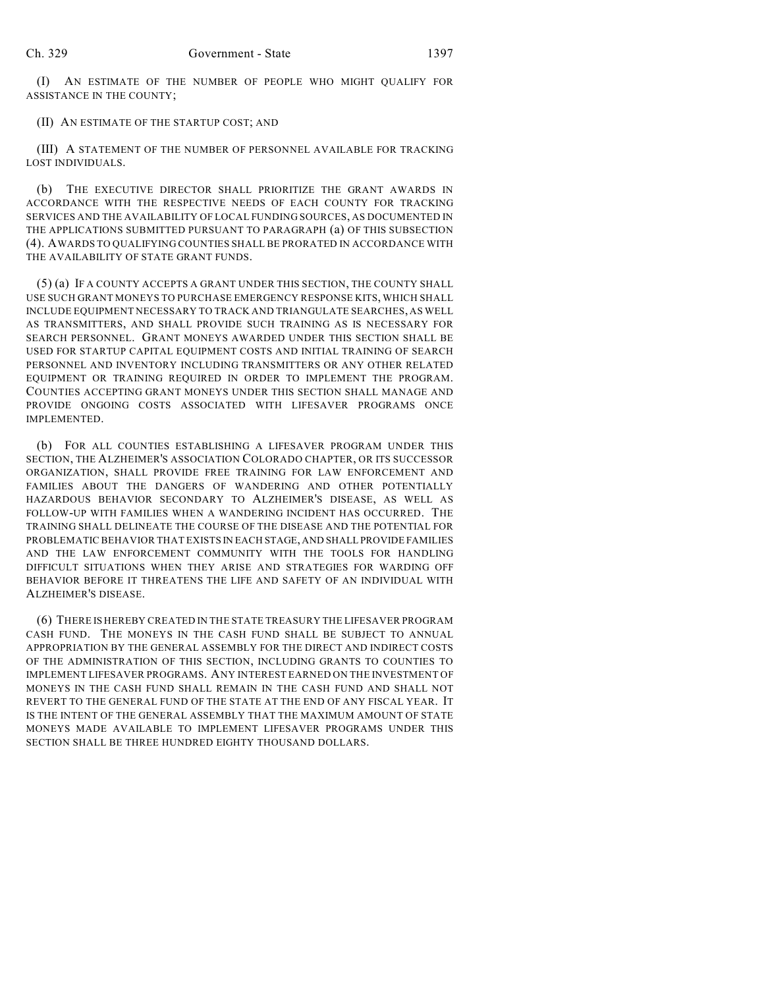(I) AN ESTIMATE OF THE NUMBER OF PEOPLE WHO MIGHT QUALIFY FOR ASSISTANCE IN THE COUNTY;

## (II) AN ESTIMATE OF THE STARTUP COST; AND

(III) A STATEMENT OF THE NUMBER OF PERSONNEL AVAILABLE FOR TRACKING LOST INDIVIDUALS.

(b) THE EXECUTIVE DIRECTOR SHALL PRIORITIZE THE GRANT AWARDS IN ACCORDANCE WITH THE RESPECTIVE NEEDS OF EACH COUNTY FOR TRACKING SERVICES AND THE AVAILABILITY OF LOCAL FUNDING SOURCES, AS DOCUMENTED IN THE APPLICATIONS SUBMITTED PURSUANT TO PARAGRAPH (a) OF THIS SUBSECTION (4). AWARDS TO QUALIFYING COUNTIES SHALL BE PRORATED IN ACCORDANCE WITH THE AVAILABILITY OF STATE GRANT FUNDS.

(5) (a) IF A COUNTY ACCEPTS A GRANT UNDER THIS SECTION, THE COUNTY SHALL USE SUCH GRANT MONEYS TO PURCHASE EMERGENCY RESPONSE KITS, WHICH SHALL INCLUDE EQUIPMENT NECESSARY TO TRACK AND TRIANGULATE SEARCHES, AS WELL AS TRANSMITTERS, AND SHALL PROVIDE SUCH TRAINING AS IS NECESSARY FOR SEARCH PERSONNEL. GRANT MONEYS AWARDED UNDER THIS SECTION SHALL BE USED FOR STARTUP CAPITAL EQUIPMENT COSTS AND INITIAL TRAINING OF SEARCH PERSONNEL AND INVENTORY INCLUDING TRANSMITTERS OR ANY OTHER RELATED EQUIPMENT OR TRAINING REQUIRED IN ORDER TO IMPLEMENT THE PROGRAM. COUNTIES ACCEPTING GRANT MONEYS UNDER THIS SECTION SHALL MANAGE AND PROVIDE ONGOING COSTS ASSOCIATED WITH LIFESAVER PROGRAMS ONCE IMPLEMENTED.

(b) FOR ALL COUNTIES ESTABLISHING A LIFESAVER PROGRAM UNDER THIS SECTION, THE ALZHEIMER'S ASSOCIATION COLORADO CHAPTER, OR ITS SUCCESSOR ORGANIZATION, SHALL PROVIDE FREE TRAINING FOR LAW ENFORCEMENT AND FAMILIES ABOUT THE DANGERS OF WANDERING AND OTHER POTENTIALLY HAZARDOUS BEHAVIOR SECONDARY TO ALZHEIMER'S DISEASE, AS WELL AS FOLLOW-UP WITH FAMILIES WHEN A WANDERING INCIDENT HAS OCCURRED. THE TRAINING SHALL DELINEATE THE COURSE OF THE DISEASE AND THE POTENTIAL FOR PROBLEMATIC BEHAVIOR THAT EXISTS IN EACH STAGE, AND SHALL PROVIDE FAMILIES AND THE LAW ENFORCEMENT COMMUNITY WITH THE TOOLS FOR HANDLING DIFFICULT SITUATIONS WHEN THEY ARISE AND STRATEGIES FOR WARDING OFF BEHAVIOR BEFORE IT THREATENS THE LIFE AND SAFETY OF AN INDIVIDUAL WITH ALZHEIMER'S DISEASE.

(6) THERE IS HEREBY CREATED IN THE STATE TREASURY THE LIFESAVER PROGRAM CASH FUND. THE MONEYS IN THE CASH FUND SHALL BE SUBJECT TO ANNUAL APPROPRIATION BY THE GENERAL ASSEMBLY FOR THE DIRECT AND INDIRECT COSTS OF THE ADMINISTRATION OF THIS SECTION, INCLUDING GRANTS TO COUNTIES TO IMPLEMENT LIFESAVER PROGRAMS. ANY INTEREST EARNED ON THE INVESTMENT OF MONEYS IN THE CASH FUND SHALL REMAIN IN THE CASH FUND AND SHALL NOT REVERT TO THE GENERAL FUND OF THE STATE AT THE END OF ANY FISCAL YEAR. IT IS THE INTENT OF THE GENERAL ASSEMBLY THAT THE MAXIMUM AMOUNT OF STATE MONEYS MADE AVAILABLE TO IMPLEMENT LIFESAVER PROGRAMS UNDER THIS SECTION SHALL BE THREE HUNDRED EIGHTY THOUSAND DOLLARS.